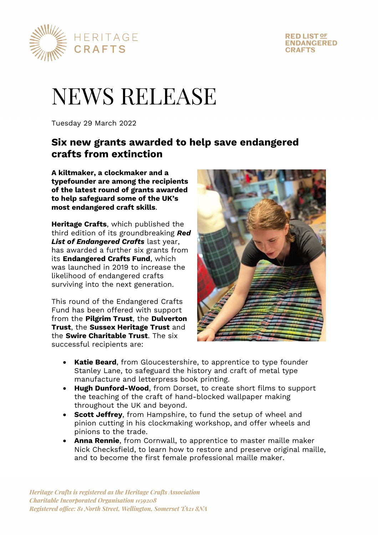

#### **RED LIST OF ENDANGERED CRAFTS**

# NEWS RELEASE

Tuesday 29 March 2022

# **Six new grants awarded to help save endangered crafts from extinction**

**A kiltmaker, a clockmaker and a typefounder are among the recipients of the latest round of grants awarded to help safeguard some of the UK's most endangered craft skills**.

**Heritage Crafts**, which published the third edition of its groundbreaking *Red List of Endangered Crafts* last year, has awarded a further six grants from its **Endangered Crafts Fund**, which was launched in 2019 to increase the likelihood of endangered crafts surviving into the next generation.

This round of the Endangered Crafts Fund has been offered with support from the **Pilgrim Trust**, the **Dulverton Trust**, the **Sussex Heritage Trust** and the **Swire Charitable Trust**. The six successful recipients are:



- **Katie Beard**, from Gloucestershire, to apprentice to type founder Stanley Lane, to safeguard the history and craft of metal type manufacture and letterpress book printing.
- **Hugh Dunford-Wood**, from Dorset, to create short films to support the teaching of the craft of hand-blocked wallpaper making throughout the UK and beyond.
- **Scott Jeffrey**, from Hampshire, to fund the setup of wheel and pinion cutting in his clockmaking workshop, and offer wheels and pinions to the trade.
- **Anna Rennie**, from Cornwall, to apprentice to master maille maker Nick Checksfield, to learn how to restore and preserve original maille, and to become the first female professional maille maker.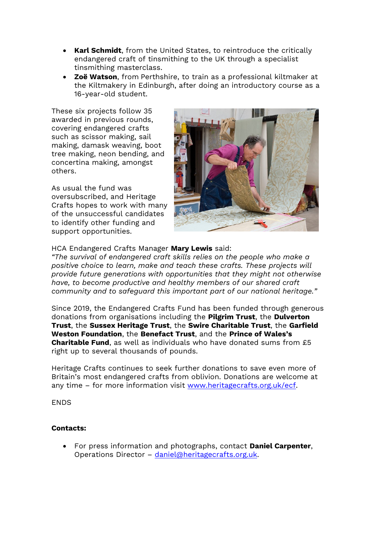- **Karl Schmidt**, from the United States, to reintroduce the critically endangered craft of tinsmithing to the UK through a specialist tinsmithing masterclass.
- **Zoë Watson**, from Perthshire, to train as a professional kiltmaker at the Kiltmakery in Edinburgh, after doing an introductory course as a 16-year-old student.

These six projects follow 35 awarded in previous rounds, covering endangered crafts such as scissor making, sail making, damask weaving, boot tree making, neon bending, and concertina making, amongst others.

As usual the fund was oversubscribed, and Heritage Crafts hopes to work with many of the unsuccessful candidates to identify other funding and support opportunities.



HCA Endangered Crafts Manager **Mary Lewis** said:

*"The survival of endangered craft skills relies on the people who make a positive choice to learn, make and teach these crafts. These projects will provide future generations with opportunities that they might not otherwise have, to become productive and healthy members of our shared craft community and to safeguard this important part of our national heritage."* 

Since 2019, the Endangered Crafts Fund has been funded through generous donations from organisations including the **Pilgrim Trust**, the **Dulverton Trust**, the **Sussex Heritage Trust**, the **Swire Charitable Trust**, the **Garfield Weston Foundation**, the **Benefact Trust**, and the **Prince of Wales's Charitable Fund**, as well as individuals who have donated sums from £5 right up to several thousands of pounds.

Heritage Crafts continues to seek further donations to save even more of Britain's most endangered crafts from oblivion. Donations are welcome at any time – for more information visit www.heritagecrafts.org.uk/ecf.

**FNDS** 

# **Contacts:**

 For press information and photographs, contact **Daniel Carpenter**, Operations Director – daniel@heritagecrafts.org.uk.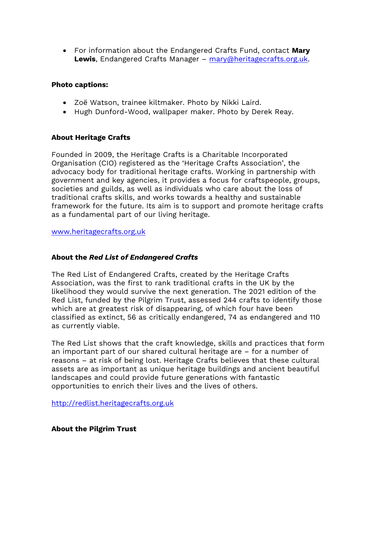For information about the Endangered Crafts Fund, contact **Mary Lewis**, Endangered Crafts Manager – mary@heritagecrafts.org.uk.

# **Photo captions:**

- Zoë Watson, trainee kiltmaker. Photo by Nikki Laird.
- Hugh Dunford-Wood, wallpaper maker. Photo by Derek Reay.

# **About Heritage Crafts**

Founded in 2009, the Heritage Crafts is a Charitable Incorporated Organisation (CIO) registered as the 'Heritage Crafts Association', the advocacy body for traditional heritage crafts. Working in partnership with government and key agencies, it provides a focus for craftspeople, groups, societies and guilds, as well as individuals who care about the loss of traditional crafts skills, and works towards a healthy and sustainable framework for the future. Its aim is to support and promote heritage crafts as a fundamental part of our living heritage.

#### www.heritagecrafts.org.uk

# **About the** *Red List of Endangered Crafts*

The Red List of Endangered Crafts, created by the Heritage Crafts Association, was the first to rank traditional crafts in the UK by the likelihood they would survive the next generation. The 2021 edition of the Red List, funded by the Pilgrim Trust, assessed 244 crafts to identify those which are at greatest risk of disappearing, of which four have been classified as extinct, 56 as critically endangered, 74 as endangered and 110 as currently viable.

The Red List shows that the craft knowledge, skills and practices that form an important part of our shared cultural heritage are – for a number of reasons – at risk of being lost. Heritage Crafts believes that these cultural assets are as important as unique heritage buildings and ancient beautiful landscapes and could provide future generations with fantastic opportunities to enrich their lives and the lives of others.

http://redlist.heritagecrafts.org.uk

# **About the Pilgrim Trust**